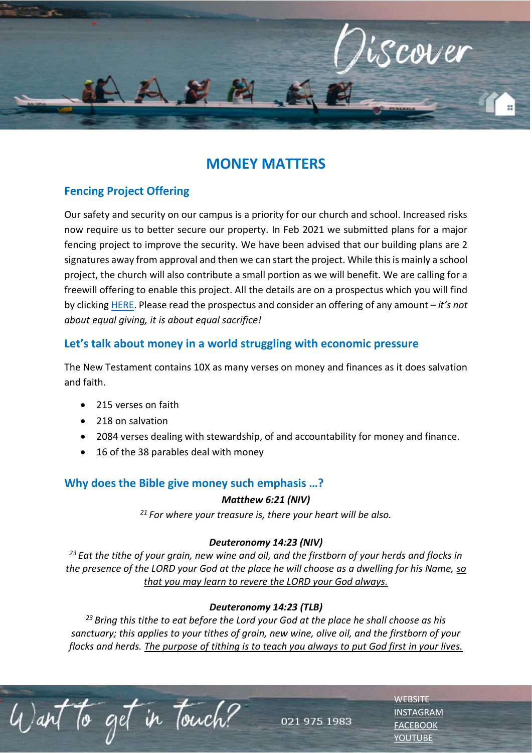

# **MONEY MATTERS**

# **Fencing Project Offering**

Our safety and security on our campus is a priority for our church and school. Increased risks now require us to better secure our property. In Feb 2021 we submitted plans for a major fencing project to improve the security. We have been advised that our building plans are 2 signatures away from approval and then we can start the project. While this is mainly a school project, the church will also contribute a small portion as we will benefit. We are calling for a freewill offering to enable this project. All the details are on a prospectus which you will find by clicking [HERE.](https://escc.co.za/event/special-offering-for-el-shaddai-fencing-project/) Please read the prospectus and consider an offering of any amount – *it's not about equal giving, it is about equal sacrifice!*

# **Let's talk about money in a world struggling with economic pressure**

The New Testament contains 10X as many verses on money and finances as it does salvation and faith.

- 215 verses on faith
- 218 on salvation
- 2084 verses dealing with stewardship, of and accountability for money and finance.
- 16 of the 38 parables deal with money

# **Why does the Bible give money such emphasis …?**

#### *Matthew 6:21 (NIV)*

*<sup>21</sup> For where your treasure is, there your heart will be also.*

## *Deuteronomy 14:23 (NIV)*

*<sup>23</sup>Eat the tithe of your grain, new wine and oil, and the firstborn of your herds and flocks in the presence of the LORD your God at the place he will choose as a dwelling for his Name, so that you may learn to revere the LORD your God always.*

## *Deuteronomy 14:23 (TLB)*

*<sup>23</sup>Bring this tithe to eat before the Lord your God at the place he shall choose as his sanctuary; this applies to your tithes of grain, new wine, olive oil, and the firstborn of your flocks and herds. The purpose of tithing is to teach you always to put God first in your lives.*

to get in Touch?

021 975 1983

**[WEBSITE](http://www.escc.co.za/)** [INSTAGRAM](https://www.instagram.com/esccdurbanville/) **[FACEBOOK](https://www.facebook.com/escc.za)** [YOUTUBE](https://www.youtube.com/c/ESCCDurbanvilleV)